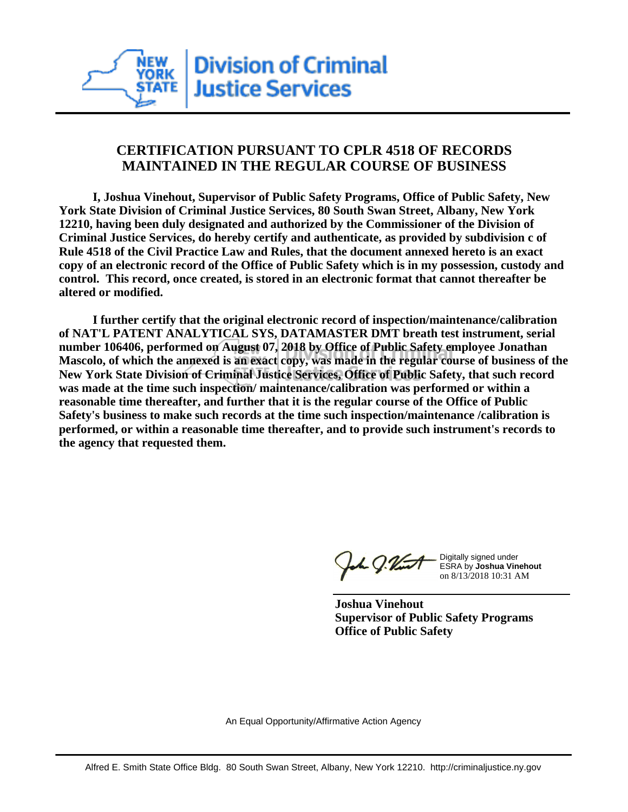# **CERTIFICATION PURSUANT TO CPLR 4518 OF RECORDS MAINTAINED IN THE REGULAR COURSE OF BUSINESS**

 **I, Joshua Vinehout, Supervisor of Public Safety Programs, Office of Public Safety, New York State Division of Criminal Justice Services, 80 South Swan Street, Albany, New York 12210, having been duly designated and authorized by the Commissioner of the Division of Criminal Justice Services, do hereby certify and authenticate, as provided by subdivision c of Rule 4518 of the Civil Practice Law and Rules, that the document annexed hereto is an exact copy of an electronic record of the Office of Public Safety which is in my possession, custody and control. This record, once created, is stored in an electronic format that cannot thereafter be altered or modified.**

 **I further certify that the original electronic record of inspection/maintenance/calibration of NAT'L PATENT ANALYTICAL SYS, DATAMASTER DMT breath test instrument, serial number 106406, performed on August 07, 2018 by Office of Public Safety employee Jonathan Mascolo, of which the annexed is an exact copy, was made in the regular course of business of the New York State Division of Criminal Justice Services, Office of Public Safety, that such record was made at the time such inspection/ maintenance/calibration was performed or within a reasonable time thereafter, and further that it is the regular course of the Office of Public Safety's business to make such records at the time such inspection/maintenance /calibration is performed, or within a reasonable time thereafter, and to provide such instrument's records to the agency that requested them.**

1 g.Vint

Digitally signed under ESRA by **Joshua Vinehout** on 8/13/2018 10:31 AM

**Joshua Vinehout Supervisor of Public Safety Programs Office of Public Safety**

An Equal Opportunity/Affirmative Action Agency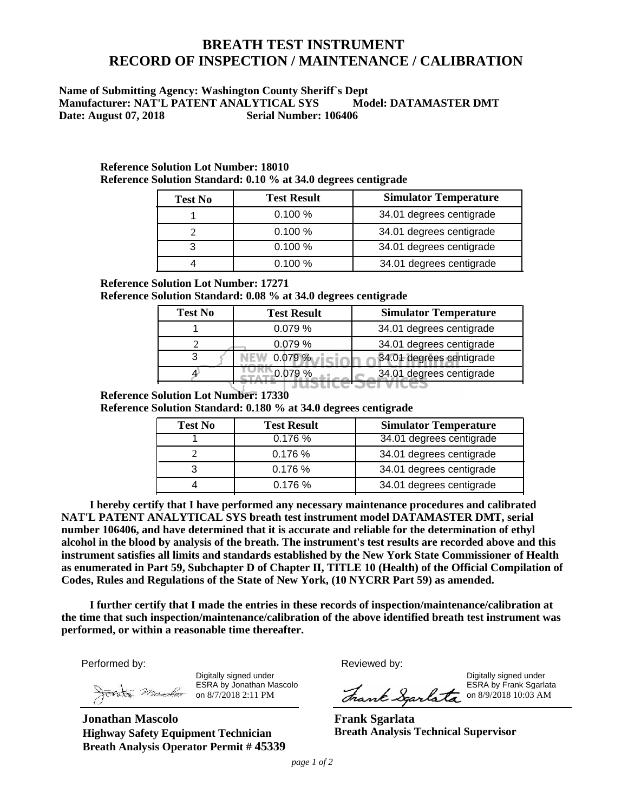# **BREATH TEST INSTRUMENT RECORD OF INSPECTION / MAINTENANCE / CALIBRATION**

### **Name of Submitting Agency: Washington County Sheriff`s Dept Manufacturer: NAT'L PATENT ANALYTICAL SYS Model: DATAMASTER DMT Date: August 07, 2018 Serial Number: 106406**

| <b>Test No</b> | <b>Test Result</b> | <b>Simulator Temperature</b> |
|----------------|--------------------|------------------------------|
|                | 0.100%             | 34.01 degrees centigrade     |
|                | 0.100%             | 34.01 degrees centigrade     |
|                | 0.100%             | 34.01 degrees centigrade     |
|                | 0.100%             | 34.01 degrees centigrade     |

#### **Reference Solution Lot Number: 18010 Reference Solution Standard: 0.10 % at 34.0 degrees centigrade**

**Reference Solution Lot Number: 17271**

**Reference Solution Standard: 0.08 % at 34.0 degrees centigrade**

| <b>Test No</b> | <b>Test Result</b> | <b>Simulator Temperature</b> |
|----------------|--------------------|------------------------------|
|                | 0.079%             | 34.01 degrees centigrade     |
|                | 0.079%             | 34.01 degrees centigrade     |
|                | 0.079%             | 34.01 degrees centigrade     |
|                |                    | 34.01 degrees centigrade     |
|                |                    |                              |

### **Reference Solution Lot Number: 17330**

**Reference Solution Standard: 0.180 % at 34.0 degrees centigrade**

| <b>Test No</b> | <b>Test Result</b> | <b>Simulator Temperature</b> |
|----------------|--------------------|------------------------------|
|                | 0.176%             | 34.01 degrees centigrade     |
|                | 0.176%             | 34.01 degrees centigrade     |
|                | 0.176%             | 34.01 degrees centigrade     |
|                | 0.176%             | 34.01 degrees centigrade     |

 **NAT'L PATENT ANALYTICAL SYS breath test instrument model DATAMASTER DMT, serial number 106406, and have determined that it is accurate and reliable for the determination of ethyl alcohol in the blood by analysis of the breath. The instrument's test results are recorded above and this instrument satisfies all limits and standards established by the New York State Commissioner of Health**   **as enumerated in Part 59, Subchapter D of Chapter II, TITLE 10 (Health) of the Official Compilation of I hereby certify that I have performed any necessary maintenance procedures and calibrated Codes, Rules and Regulations of the State of New York, (10 NYCRR Part 59) as amended.**

 **performed, or within a reasonable time thereafter. I further certify that I made the entries in these records of inspection/maintenance/calibration at the time that such inspection/maintenance/calibration of the above identified breath test instrument was** 

Performed by:

Digitally signed under **Example 20** and the control of the control of the control of the control of the control of the control of the control of the control of the control of the control of the control of the control of th Digitally signed under ESRA by Jonathan Mascolo on 8/7/2018 2:11 PM

**Jonathan Mascolo Highway Safety Equipment Technician Breath Analysis Operator Permit # 45339** Reviewed by:

ESRA by Frank Sgarlata

ESRA by Frank Sgarlata

**Frank Sgarlata Breath Analysis Technical Supervisor**